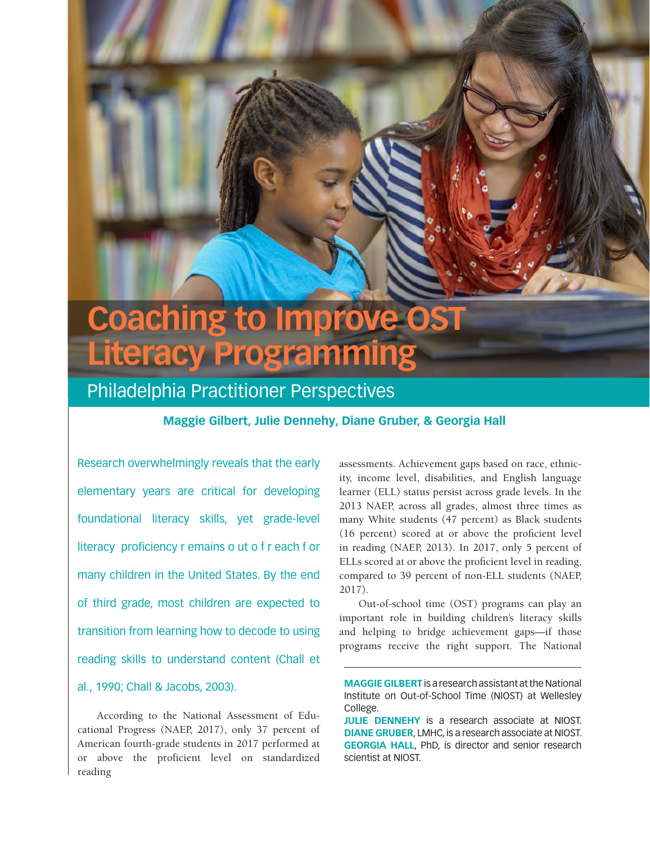# **Coaching to Improve OST Literacy Programming**

# Philadelphia Practitioner Perspectives

### **Maggie Gilbert, Julie Dennehy, Diane Gruber, & Georgia Hall**

Research overwhelmingly reveals that the early elementary years are critical for developing foundational literacy skills, yet grade-level literacy proficiency r emains o ut o f r each f or many children in the United States. By the end of third grade, most children are expected to transition from learning how to decode to using reading skills to understand content (Chall et al., 1990; Chall & Jacobs, 2003).

According to the National Assessment of Educational Progress (NAEP, 2017), only 37 percent of American fourth-grade students in 2017 performed at or above the proficient level on standardized reading

assessments. Achievement gaps based on race, ethnicity, income level, disabilities, and English language learner (ELL) status persist across grade levels. In the 2013 NAEP, across all grades, almost three times as many White students (47 percent) as Black students (16 percent) scored at or above the proficient level in reading (NAEP, 2013). In 2017, only 5 percent of ELLs scored at or above the proficient level in reading, compared to 39 percent of non-ELL students (NAEP, 2017).

Out-of-school time (OST) programs can play an important role in building children's literacy skills and helping to bridge achievement gaps—if those programs receive the right support. The National

**MAGGIE GILBERT** is a research assistant at the National Institute on Out-of-School Time (NIOST) at Wellesley College.

**JULIE DENNEHY** is a research associate at NIOST. **DIANE GRUBER**, LMHC, is a research associate at NIOST. **GEORGIA HALL**, PhD, is director and senior research scientist at NIOST.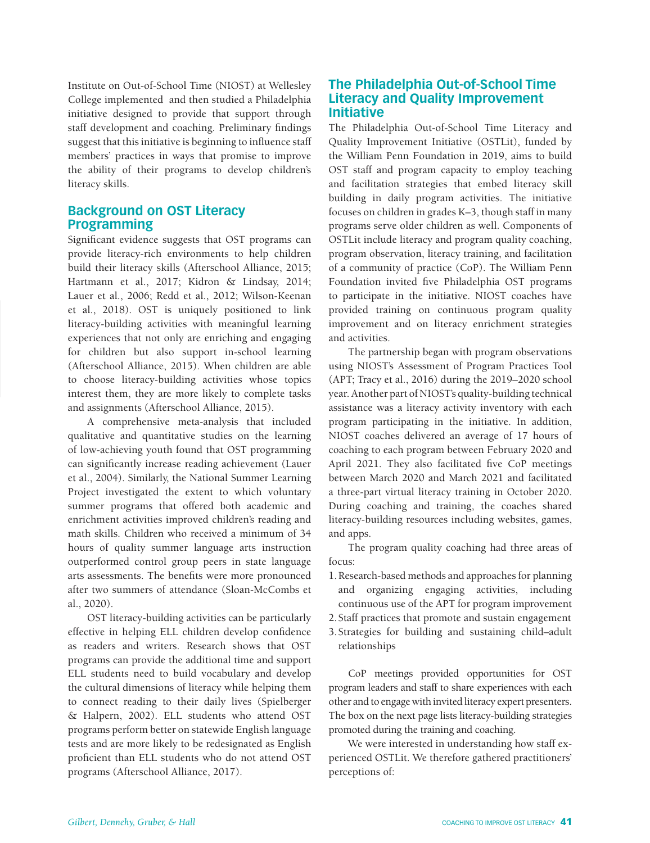Institute on Out-of-School Time (NIOST) at Wellesley College implemented and then studied a Philadelphia initiative designed to provide that support through staff development and coaching. Preliminary findings suggest that this initiative is beginning to influence staff members' practices in ways that promise to improve the ability of their programs to develop children's literacy skills.

# **Background on OST Literacy Programming**

Significant evidence suggests that OST programs can provide literacy-rich environments to help children build their literacy skills (Afterschool Alliance, 2015; Hartmann et al., 2017; Kidron & Lindsay, 2014; Lauer et al., 2006; Redd et al., 2012; Wilson-Keenan et al., 2018). OST is uniquely positioned to link literacy-building activities with meaningful learning experiences that not only are enriching and engaging for children but also support in-school learning (Afterschool Alliance, 2015). When children are able to choose literacy-building activities whose topics interest them, they are more likely to complete tasks and assignments (Afterschool Alliance, 2015).

A comprehensive meta-analysis that included qualitative and quantitative studies on the learning of low-achieving youth found that OST programming can significantly increase reading achievement (Lauer et al., 2004). Similarly, the National Summer Learning Project investigated the extent to which voluntary summer programs that offered both academic and enrichment activities improved children's reading and math skills. Children who received a minimum of 34 hours of quality summer language arts instruction outperformed control group peers in state language arts assessments. The benefits were more pronounced after two summers of attendance (Sloan-McCombs et al., 2020).

OST literacy-building activities can be particularly effective in helping ELL children develop confidence as readers and writers. Research shows that OST programs can provide the additional time and support ELL students need to build vocabulary and develop the cultural dimensions of literacy while helping them to connect reading to their daily lives (Spielberger & Halpern, 2002). ELL students who attend OST programs perform better on statewide English language tests and are more likely to be redesignated as English proficient than ELL students who do not attend OST programs (Afterschool Alliance, 2017).

# **The Philadelphia Out-of-School Time Literacy and Quality Improvement Initiative**

The Philadelphia Out-of-School Time Literacy and Quality Improvement Initiative (OSTLit), funded by the William Penn Foundation in 2019, aims to build OST staff and program capacity to employ teaching and facilitation strategies that embed literacy skill building in daily program activities. The initiative focuses on children in grades K–3, though staff in many programs serve older children as well. Components of OSTLit include literacy and program quality coaching, program observation, literacy training, and facilitation of a community of practice (CoP). The William Penn Foundation invited five Philadelphia OST programs to participate in the initiative. NIOST coaches have provided training on continuous program quality improvement and on literacy enrichment strategies and activities.

The partnership began with program observations using NIOST's Assessment of Program Practices Tool (APT; Tracy et al., 2016) during the 2019–2020 school year. Another part of NIOST's quality-building technical assistance was a literacy activity inventory with each program participating in the initiative. In addition, NIOST coaches delivered an average of 17 hours of coaching to each program between February 2020 and April 2021. They also facilitated five CoP meetings between March 2020 and March 2021 and facilitated a three-part virtual literacy training in October 2020. During coaching and training, the coaches shared literacy-building resources including websites, games, and apps.

The program quality coaching had three areas of focus:

- 1.Research-based methods and approaches for planning and organizing engaging activities, including continuous use of the APT for program improvement
- 2. Staff practices that promote and sustain engagement
- 3. Strategies for building and sustaining child–adult relationships

CoP meetings provided opportunities for OST program leaders and staff to share experiences with each other and to engage with invited literacy expert presenters. The box on the next page lists literacy-building strategies promoted during the training and coaching.

We were interested in understanding how staff experienced OSTLit. We therefore gathered practitioners' perceptions of: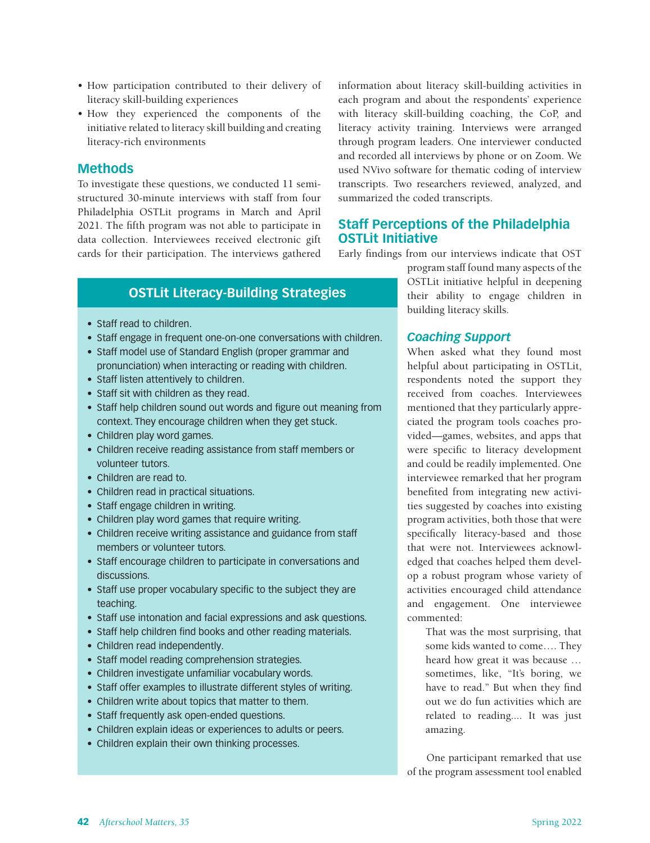- How participation contributed to their delivery of literacy skill-building experiences
- How they experienced the components of the initiative related to literacy skill building and creating literacy-rich environments

#### **Methods**

To investigate these questions, we conducted 11 semistructured 30-minute interviews with staff from four Philadelphia OSTLit programs in March and April 2021. The fifth program was not able to participate in data collection. Interviewees received electronic gift cards for their participation. The interviews gathered information about literacy skill-building activities in each program and about the respondents' experience with literacy skill-building coaching, the CoP, and literacy activity training. Interviews were arranged through program leaders. One interviewer conducted and recorded all interviews by phone or on Zoom. We used NVivo software for thematic coding of interview transcripts. Two researchers reviewed, analyzed, and summarized the coded transcripts.

# **Staff Perceptions of the Philadelphia OSTLit Initiative**

Early findings from our interviews indicate that OST

# **OSTLit Literacy-Building Strategies**

- Staff read to children.
- Staff engage in frequent one-on-one conversations with children.
- Staff model use of Standard English (proper grammar and pronunciation) when interacting or reading with children.
- Staff listen attentively to children.
- Staff sit with children as they read.
- Staff help children sound out words and figure out meaning from context. They encourage children when they get stuck.
- Children play word games.
- Children receive reading assistance from staff members or volunteer tutors.
- Children are read to.
- Children read in practical situations.
- Staff engage children in writing.
- Children play word games that require writing.
- Children receive writing assistance and guidance from staff members or volunteer tutors.
- Staff encourage children to participate in conversations and discussions.
- Staff use proper vocabulary specific to the subject they are teaching.
- Staff use intonation and facial expressions and ask questions.
- Staff help children find books and other reading materials.
- Children read independently.
- Staff model reading comprehension strategies.
- Children investigate unfamiliar vocabulary words.
- Staff offer examples to illustrate different styles of writing.
- Children write about topics that matter to them.
- Staff frequently ask open-ended questions.
- Children explain ideas or experiences to adults or peers.
- Children explain their own thinking processes.

program staff found many aspects of the OSTLit initiative helpful in deepening their ability to engage children in building literacy skills.

#### *Coaching Support*

When asked what they found most helpful about participating in OSTLit, respondents noted the support they received from coaches. Interviewees mentioned that they particularly appreciated the program tools coaches provided—games, websites, and apps that were specific to literacy development and could be readily implemented. One interviewee remarked that her program benefited from integrating new activities suggested by coaches into existing program activities, both those that were specifically literacy-based and those that were not. Interviewees acknowledged that coaches helped them develop a robust program whose variety of activities encouraged child attendance and engagement. One interviewee commented:

> That was the most surprising, that some kids wanted to come…. They heard how great it was because … sometimes, like, "It's boring, we have to read." But when they find out we do fun activities which are related to reading.... It was just amazing.

One participant remarked that use of the program assessment tool enabled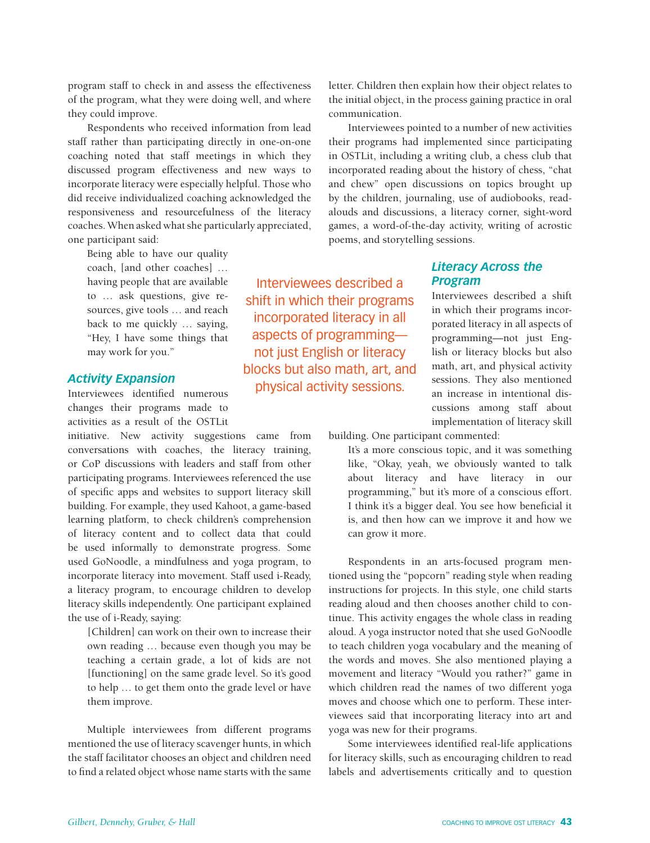program staff to check in and assess the effectiveness of the program, what they were doing well, and where they could improve.

Respondents who received information from lead staff rather than participating directly in one-on-one coaching noted that staff meetings in which they discussed program effectiveness and new ways to incorporate literacy were especially helpful. Those who did receive individualized coaching acknowledged the responsiveness and resourcefulness of the literacy coaches. When asked what she particularly appreciated, one participant said:

Being able to have our quality coach, [and other coaches] … having people that are available to … ask questions, give resources, give tools … and reach back to me quickly … saying, "Hey, I have some things that may work for you."

#### *Activity Expansion*

Interviewees identified numerous changes their programs made to activities as a result of the OSTLit

initiative. New activity suggestions came from conversations with coaches, the literacy training, or CoP discussions with leaders and staff from other participating programs. Interviewees referenced the use of specific apps and websites to support literacy skill building. For example, they used Kahoot, a game-based learning platform, to check children's comprehension of literacy content and to collect data that could be used informally to demonstrate progress. Some used GoNoodle, a mindfulness and yoga program, to incorporate literacy into movement. Staff used i-Ready, a literacy program, to encourage children to develop literacy skills independently. One participant explained the use of i-Ready, saying:

[Children] can work on their own to increase their own reading … because even though you may be teaching a certain grade, a lot of kids are not [functioning] on the same grade level. So it's good to help … to get them onto the grade level or have them improve.

Multiple interviewees from different programs mentioned the use of literacy scavenger hunts, in which the staff facilitator chooses an object and children need to find a related object whose name starts with the same

Interviewees described a shift in which their programs incorporated literacy in all aspects of programming not just English or literacy blocks but also math, art, and

physical activity sessions.

letter. Children then explain how their object relates to the initial object, in the process gaining practice in oral communication.

Interviewees pointed to a number of new activities their programs had implemented since participating in OSTLit, including a writing club, a chess club that incorporated reading about the history of chess, "chat and chew" open discussions on topics brought up by the children, journaling, use of audiobooks, readalouds and discussions, a literacy corner, sight-word games, a word-of-the-day activity, writing of acrostic poems, and storytelling sessions.

#### *Literacy Across the Program*

Interviewees described a shift in which their programs incorporated literacy in all aspects of programming—not just English or literacy blocks but also math, art, and physical activity sessions. They also mentioned an increase in intentional discussions among staff about implementation of literacy skill

building. One participant commented:

It's a more conscious topic, and it was something like, "Okay, yeah, we obviously wanted to talk about literacy and have literacy in our programming," but it's more of a conscious effort. I think it's a bigger deal. You see how beneficial it is, and then how can we improve it and how we can grow it more.

Respondents in an arts-focused program mentioned using the "popcorn" reading style when reading instructions for projects. In this style, one child starts reading aloud and then chooses another child to continue. This activity engages the whole class in reading aloud. A yoga instructor noted that she used GoNoodle to teach children yoga vocabulary and the meaning of the words and moves. She also mentioned playing a movement and literacy "Would you rather?" game in which children read the names of two different yoga moves and choose which one to perform. These interviewees said that incorporating literacy into art and yoga was new for their programs.

Some interviewees identified real-life applications for literacy skills, such as encouraging children to read labels and advertisements critically and to question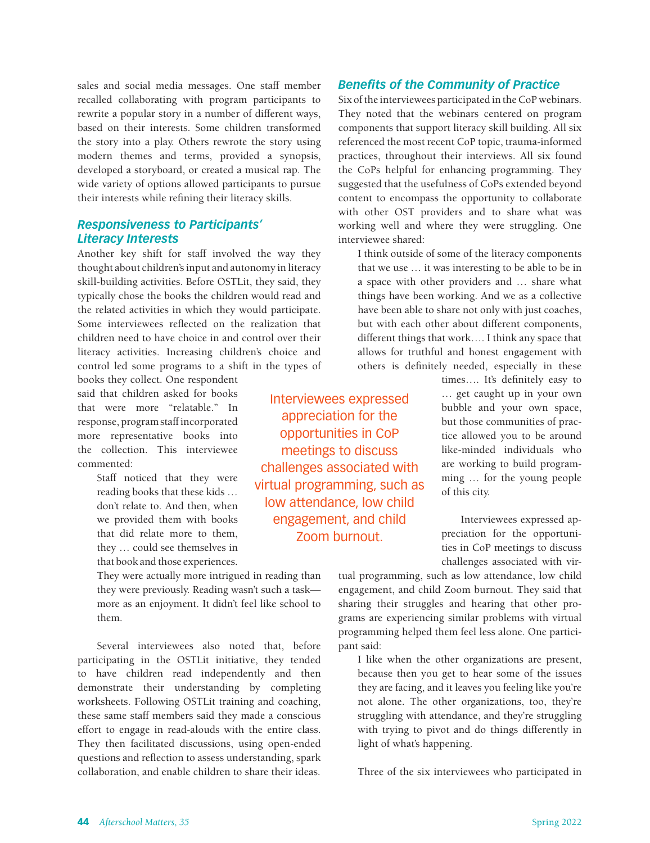sales and social media messages. One staff member recalled collaborating with program participants to rewrite a popular story in a number of different ways, based on their interests. Some children transformed the story into a play. Others rewrote the story using modern themes and terms, provided a synopsis, developed a storyboard, or created a musical rap. The wide variety of options allowed participants to pursue their interests while refining their literacy skills.

#### *Responsiveness to Participants' Literacy Interests*

Another key shift for staff involved the way they thought about children's input and autonomy in literacy skill-building activities. Before OSTLit, they said, they typically chose the books the children would read and the related activities in which they would participate. Some interviewees reflected on the realization that children need to have choice in and control over their literacy activities. Increasing children's choice and control led some programs to a shift in the types of

books they collect. One respondent said that children asked for books that were more "relatable." In response, program staff incorporated more representative books into the collection. This interviewee commented:

> Staff noticed that they were reading books that these kids … don't relate to. And then, when we provided them with books that did relate more to them, they … could see themselves in that book and those experiences.

They were actually more intrigued in reading than they were previously. Reading wasn't such a task more as an enjoyment. It didn't feel like school to them.

Several interviewees also noted that, before participating in the OSTLit initiative, they tended to have children read independently and then demonstrate their understanding by completing worksheets. Following OSTLit training and coaching, these same staff members said they made a conscious effort to engage in read-alouds with the entire class. They then facilitated discussions, using open-ended questions and reflection to assess understanding, spark collaboration, and enable children to share their ideas.

Interviewees expressed appreciation for the opportunities in CoP meetings to discuss challenges associated with virtual programming, such as low attendance, low child engagement, and child Zoom burnout.

### *Benefits of the Community of Practice*

Six of the interviewees participated in the CoP webinars. They noted that the webinars centered on program components that support literacy skill building. All six referenced the most recent CoP topic, trauma-informed practices, throughout their interviews. All six found the CoPs helpful for enhancing programming. They suggested that the usefulness of CoPs extended beyond content to encompass the opportunity to collaborate with other OST providers and to share what was working well and where they were struggling. One interviewee shared:

I think outside of some of the literacy components that we use … it was interesting to be able to be in a space with other providers and … share what things have been working. And we as a collective have been able to share not only with just coaches, but with each other about different components, different things that work…. I think any space that allows for truthful and honest engagement with others is definitely needed, especially in these

> times…. It's definitely easy to … get caught up in your own bubble and your own space, but those communities of practice allowed you to be around like-minded individuals who are working to build programming … for the young people of this city.

Interviewees expressed appreciation for the opportunities in CoP meetings to discuss challenges associated with vir-

tual programming, such as low attendance, low child engagement, and child Zoom burnout. They said that sharing their struggles and hearing that other programs are experiencing similar problems with virtual programming helped them feel less alone. One participant said:

I like when the other organizations are present, because then you get to hear some of the issues they are facing, and it leaves you feeling like you're not alone. The other organizations, too, they're struggling with attendance, and they're struggling with trying to pivot and do things differently in light of what's happening.

Three of the six interviewees who participated in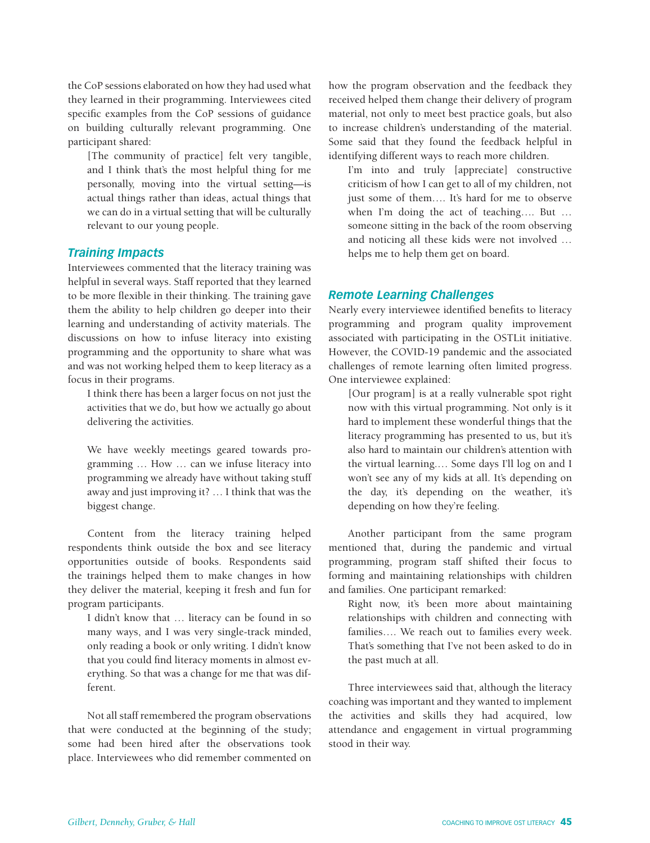the CoP sessions elaborated on how they had used what they learned in their programming. Interviewees cited specific examples from the CoP sessions of guidance on building culturally relevant programming. One participant shared:

[The community of practice] felt very tangible, and I think that's the most helpful thing for me personally, moving into the virtual setting—is actual things rather than ideas, actual things that we can do in a virtual setting that will be culturally relevant to our young people.

#### *Training Impacts*

Interviewees commented that the literacy training was helpful in several ways. Staff reported that they learned to be more flexible in their thinking. The training gave them the ability to help children go deeper into their learning and understanding of activity materials. The discussions on how to infuse literacy into existing programming and the opportunity to share what was and was not working helped them to keep literacy as a focus in their programs.

I think there has been a larger focus on not just the activities that we do, but how we actually go about delivering the activities.

We have weekly meetings geared towards programming … How … can we infuse literacy into programming we already have without taking stuff away and just improving it? … I think that was the biggest change.

Content from the literacy training helped respondents think outside the box and see literacy opportunities outside of books. Respondents said the trainings helped them to make changes in how they deliver the material, keeping it fresh and fun for program participants.

I didn't know that … literacy can be found in so many ways, and I was very single-track minded, only reading a book or only writing. I didn't know that you could find literacy moments in almost everything. So that was a change for me that was different.

Not all staff remembered the program observations that were conducted at the beginning of the study; some had been hired after the observations took place. Interviewees who did remember commented on

how the program observation and the feedback they received helped them change their delivery of program material, not only to meet best practice goals, but also to increase children's understanding of the material. Some said that they found the feedback helpful in identifying different ways to reach more children.

I'm into and truly [appreciate] constructive criticism of how I can get to all of my children, not just some of them…. It's hard for me to observe when I'm doing the act of teaching…. But … someone sitting in the back of the room observing and noticing all these kids were not involved … helps me to help them get on board.

#### *Remote Learning Challenges*

Nearly every interviewee identified benefits to literacy programming and program quality improvement associated with participating in the OSTLit initiative. However, the COVID-19 pandemic and the associated challenges of remote learning often limited progress. One interviewee explained:

[Our program] is at a really vulnerable spot right now with this virtual programming. Not only is it hard to implement these wonderful things that the literacy programming has presented to us, but it's also hard to maintain our children's attention with the virtual learning.… Some days I'll log on and I won't see any of my kids at all. It's depending on the day, it's depending on the weather, it's depending on how they're feeling.

Another participant from the same program mentioned that, during the pandemic and virtual programming, program staff shifted their focus to forming and maintaining relationships with children and families. One participant remarked:

Right now, it's been more about maintaining relationships with children and connecting with families…. We reach out to families every week. That's something that I've not been asked to do in the past much at all.

Three interviewees said that, although the literacy coaching was important and they wanted to implement the activities and skills they had acquired, low attendance and engagement in virtual programming stood in their way.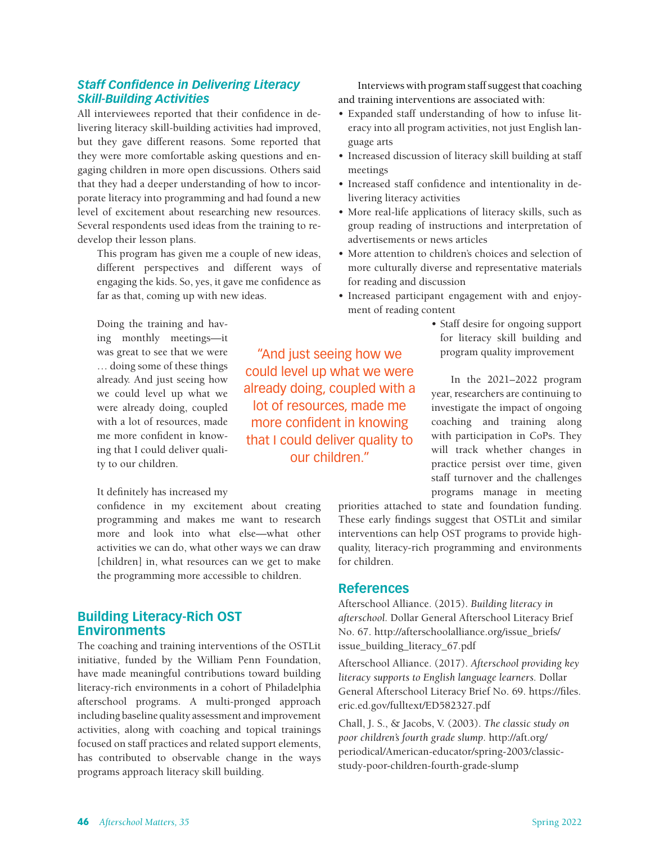# *Staff Confidence in Delivering Literacy Skill-Building Activities*

All interviewees reported that their confidence in delivering literacy skill-building activities had improved, but they gave different reasons. Some reported that they were more comfortable asking questions and engaging children in more open discussions. Others said that they had a deeper understanding of how to incorporate literacy into programming and had found a new level of excitement about researching new resources. Several respondents used ideas from the training to redevelop their lesson plans.

This program has given me a couple of new ideas, different perspectives and different ways of engaging the kids. So, yes, it gave me confidence as far as that, coming up with new ideas.

Doing the training and having monthly meetings—it was great to see that we were … doing some of these things already. And just seeing how we could level up what we were already doing, coupled with a lot of resources, made me more confident in knowing that I could deliver quality to our children.

#### It definitely has increased my

confidence in my excitement about creating programming and makes me want to research more and look into what else—what other activities we can do, what other ways we can draw [children] in, what resources can we get to make the programming more accessible to children.

## **Building Literacy-Rich OST Environments**

The coaching and training interventions of the OSTLit initiative, funded by the William Penn Foundation, have made meaningful contributions toward building literacy-rich environments in a cohort of Philadelphia afterschool programs. A multi-pronged approach including baseline quality assessment and improvement activities, along with coaching and topical trainings focused on staff practices and related support elements, has contributed to observable change in the ways programs approach literacy skill building.

Interviews with program staff suggest that coaching and training interventions are associated with:

- Expanded staff understanding of how to infuse literacy into all program activities, not just English language arts
- Increased discussion of literacy skill building at staff meetings
- Increased staff confidence and intentionality in delivering literacy activities
- More real-life applications of literacy skills, such as group reading of instructions and interpretation of advertisements or news articles
- More attention to children's choices and selection of more culturally diverse and representative materials for reading and discussion
- Increased participant engagement with and enjoyment of reading content
	- Staff desire for ongoing support for literacy skill building and program quality improvement

In the 2021–2022 program year, researchers are continuing to investigate the impact of ongoing coaching and training along with participation in CoPs. They will track whether changes in practice persist over time, given staff turnover and the challenges programs manage in meeting

priorities attached to state and foundation funding. These early findings suggest that OSTLit and similar interventions can help OST programs to provide highquality, literacy-rich programming and environments for children.

#### **References**

Afterschool Alliance. (2015). *Building literacy in afterschool.* Dollar General Afterschool Literacy Brief No. 67. http://afterschoolalliance.org/issue\_briefs/ issue\_building\_literacy\_67.pdf

Afterschool Alliance. (2017). *Afterschool providing key literacy supports to English language learners.* Dollar General Afterschool Literacy Brief No. 69. https://files. eric.ed.gov/fulltext/ED582327.pdf

Chall, J. S., & Jacobs, V. (2003). *The classic study on poor children's fourth grade slump*. http://aft.org/ periodical/American-educator/spring-2003/classicstudy-poor-children-fourth-grade-slump

"And just seeing how we could level up what we were already doing, coupled with a lot of resources, made me more confident in knowing that I could deliver quality to our children."